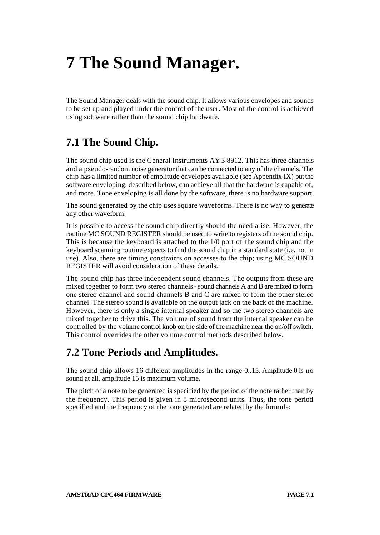# **7 The Sound Manager.**

The Sound Manager deals with the sound chip. It allows various envelopes and sounds to be set up and played under the control of the user. Most of the control is achieved using software rather than the sound chip hardware.

## **7.1 The Sound Chip.**

The sound chip used is the General Instruments AY-3-8912. This has three channels and a pseudo-random noise generator that can be connected to any of the channels. The chip has a limited number of amplitude envelopes available (see Appendix IX) but the software enveloping, described below, can achieve all that the hardware is capable of, and more. Tone enveloping is all done by the software, there is no hardware support.

The sound generated by the chip uses square waveforms. There is no way to generate any other waveform.

It is possible to access the sound chip directly should the need arise. However, the routine MC SOUND REGISTER should be used to write to registers of the sound chip. This is because the keyboard is attached to the 1/0 port of the sound chip and the keyboard scanning routine expects to find the sound chip in a standard state (i.e. not in use). Also, there are timing constraints on accesses to the chip; using MC SOUND REGISTER will avoid consideration of these details.

The sound chip has three independent sound channels. The outputs from these are mixed together to form two stereo channels - sound channels A and B are mixed to form one stereo channel and sound channels B and C are mixed to form the other stereo channel. The stereo sound is available on the output jack on the back of the machine. However, there is only a single internal speaker and so the two stereo channels are mixed together to drive this. The volume of sound from the internal speaker can be controlled by the volume control knob on the side of the machine near the on/off switch. This control overrides the other volume control methods described below.

## **7.2 Tone Periods and Amplitudes.**

The sound chip allows 16 different amplitudes in the range 0..15. Amplitude 0 is no sound at all, amplitude 15 is maximum volume.

The pitch of a note to be generated is specified by the period of the note rather than by the frequency. This period is given in 8 microsecond units. Thus, the tone period specified and the frequency of the tone generated are related by the formula: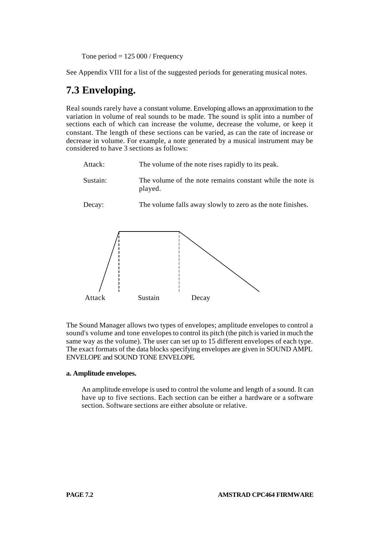Tone period  $= 125000$  / Frequency

See Appendix VIII for a list of the suggested periods for generating musical notes.

## **7.3 Enveloping.**

Real sounds rarely have a constant volume. Enveloping allows an approximation to the variation in volume of real sounds to be made. The sound is split into a number of sections each of which can increase the volume, decrease the volume, or keep it constant. The length of these sections can be varied, as can the rate of increase or decrease in volume. For example, a note generated by a musical instrument may be considered to have 3 sections as follows:

| Attack:  | The volume of the note rises rapidly to its peak.                    |
|----------|----------------------------------------------------------------------|
| Sustain: | The volume of the note remains constant while the note is<br>played. |
| Decay:   | The volume falls away slowly to zero as the note finishes.           |
|          |                                                                      |

The Sound Manager allows two types of envelopes; amplitude envelopes to control a Attack Sustain Decay

sound's volume and tone envelopes to control its pitch (the pitch is varied in much the same way as the volume). The user can set up to 15 different envelopes of each type. The exact formats of the data blocks specifying envelopes are given in SOUND AMPL ENVELOPE and SOUND TONE ENVELOPE.

#### **a. Amplitude envelopes.**

An amplitude envelope is used to control the volume and length of a sound. It can have up to five sections. Each section can be either a hardware or a software section. Software sections are either absolute or relative.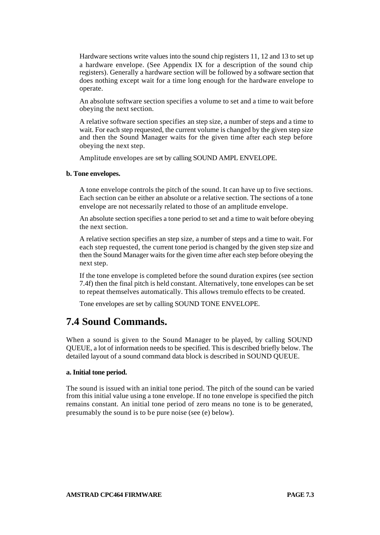Hardware sections write values into the sound chip registers 11, 12 and 13 to set up a hardware envelope. (See Appendix IX for a description of the sound chip registers). Generally a hardware section will be followed by a software section that does nothing except wait for a time long enough for the hardware envelope to operate.

An absolute software section specifies a volume to set and a time to wait before obeying the next section.

A relative software section specifies an step size, a number of steps and a time to wait. For each step requested, the current volume is changed by the given step size and then the Sound Manager waits for the given time after each step before obeying the next step.

Amplitude envelopes are set by calling SOUND AMPL ENVELOPE.

#### **b. Tone envelopes.**

A tone envelope controls the pitch of the sound. It can have up to five sections. Each section can be either an absolute or a relative section. The sections of a tone envelope are not necessarily related to those of an amplitude envelope.

An absolute section specifies a tone period to set and a time to wait before obeying the next section.

A relative section specifies an step size, a number of steps and a time to wait. For each step requested, the current tone period is changed by the given step size and then the Sound Manager waits for the given time after each step before obeying the next step.

If the tone envelope is completed before the sound duration expires (see section 7.4f) then the final pitch is held constant. Alternatively, tone envelopes can be set to repeat themselves automatically. This allows tremulo effects to be created.

Tone envelopes are set by calling SOUND TONE ENVELOPE.

## **7.4 Sound Commands.**

When a sound is given to the Sound Manager to be played, by calling SOUND QUEUE, a lot of information needs to be specified. This is described briefly below. The detailed layout of a sound command data block is described in SOUND QUEUE.

#### **a. Initial tone period.**

The sound is issued with an initial tone period. The pitch of the sound can be varied from this initial value using a tone envelope. If no tone envelope is specified the pitch remains constant. An initial tone period of zero means no tone is to be generated, presumably the sound is to be pure noise (see (e) below).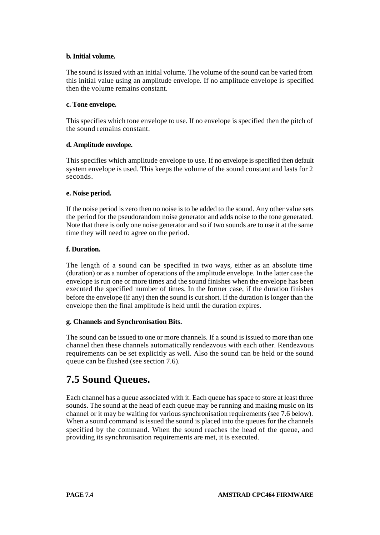#### **b. Initial volume.**

The sound is issued with an initial volume. The volume of the sound can be varied from this initial value using an amplitude envelope. If no amplitude envelope is specified then the volume remains constant.

#### **c. Tone envelope.**

This specifies which tone envelope to use. If no envelope is specified then the pitch of the sound remains constant.

#### **d. Amplitude envelope.**

This specifies which amplitude envelope to use. If no envelope is specified then default system envelope is used. This keeps the volume of the sound constant and lasts for 2 seconds.

#### **e. Noise period.**

If the noise period is zero then no noise is to be added to the sound. Any other value sets the period for the pseudorandom noise generator and adds noise to the tone generated. Note that there is only one noise generator and so if two sounds are to use it at the same time they will need to agree on the period.

#### **f. Duration.**

The length of a sound can be specified in two ways, either as an absolute time (duration) or as a number of operations of the amplitude envelope. In the latter case the envelope is run one or more times and the sound finishes when the envelope has been executed the specified number of times. In the former case, if the duration finishes before the envelope (if any) then the sound is cut short. If the duration is longer than the envelope then the final amplitude is held until the duration expires.

#### **g. Channels and Synchronisation Bits.**

The sound can be issued to one or more channels. If a sound is issued to more than one channel then these channels automatically rendezvous with each other. Rendezvous requirements can be set explicitly as well. Also the sound can be held or the sound queue can be flushed (see section 7.6).

## **7.5 Sound Queues.**

Each channel has a queue associated with it. Each queue has space to store at least three sounds. The sound at the head of each queue may be running and making music on its channel or it may be waiting for various synchronisation requirements (see 7.6 below). When a sound command is issued the sound is placed into the queues for the channels specified by the command. When the sound reaches the head of the queue, and providing its synchronisation requirements are met, it is executed.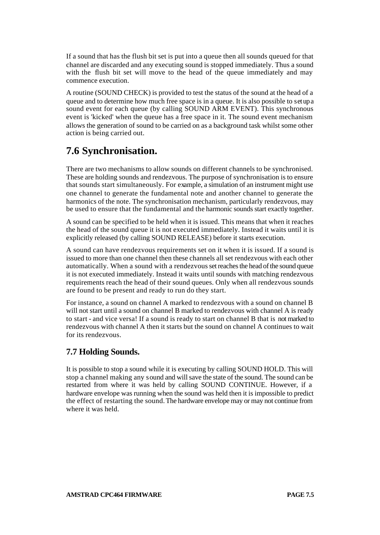If a sound that has the flush bit set is put into a queue then all sounds queued for that channel are discarded and any executing sound is stopped immediately. Thus a sound with the flush bit set will move to the head of the queue immediately and may commence execution.

A routine (SOUND CHECK) is provided to test the status of the sound at the head of a queue and to determine how much free space is in a queue. It is also possible to set up a sound event for each queue (by calling SOUND ARM EVENT). This synchronous event is 'kicked' when the queue has a free space in it. The sound event mechanism allows the generation of sound to be carried on as a background task whilst some other action is being carried out.

## **7.6 Synchronisation.**

There are two mechanisms to allow sounds on different channels to be synchronised. These are holding sounds and rendezvous. The purpose of synchronisation is to ensure that sounds start simultaneously. For example, a simulation of an instrument might use one channel to generate the fundamental note and another channel to generate the harmonics of the note. The synchronisation mechanism, particularly rendezvous, may be used to ensure that the fundamental and the harmonic sounds start exactly together.

A sound can be specified to be held when it is issued. This means that when it reaches the head of the sound queue it is not executed immediately. Instead it waits until it is explicitly released (by calling SOUND RELEASE) before it starts execution.

A sound can have rendezvous requirements set on it when it is issued. If a sound is issued to more than one channel then these channels all set rendezvous with each other automatically. When a sound with a rendezvous set reaches the head of the sound queue it is not executed immediately. Instead it waits until sounds with matching rendezvous requirements reach the head of their sound queues. Only when all rendezvous sounds are found to be present and ready to run do they start.

For instance, a sound on channel A marked to rendezvous with a sound on channel B will not start until a sound on channel B marked to rendezvous with channel A is ready to start - and vice versa! If a sound is ready to start on channel B that is not marked to rendezvous with channel A then it starts but the sound on channel A continues to wait for its rendezvous.

### **7.7 Holding Sounds.**

It is possible to stop a sound while it is executing by calling SOUND HOLD. This will stop a channel making any sound and will save the state of the sound. The sound can be restarted from where it was held by calling SOUND CONTINUE. However, if a hardware envelope was running when the sound was held then it is impossible to predict the effect of restarting the sound. The hardware envelope may or may not continue from where it was held.